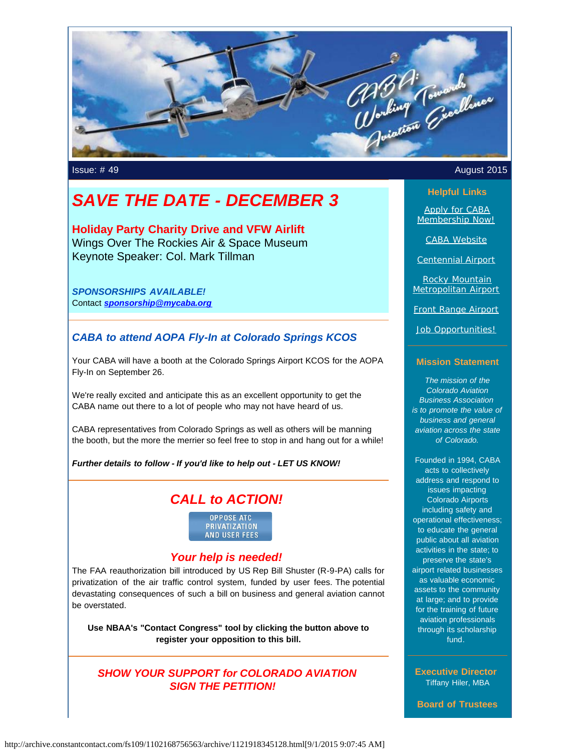

# *SAVE THE DATE - DECEMBER 3*

**Holiday Party Charity Drive and VFW Airlift** Wings Over The Rockies Air & Space Museum Keynote Speaker: Col. Mark Tillman

*SPONSORSHIPS AVAILABLE!* Contact *[sponsorship@mycaba.org](mailto:sponsorship@mycaba.org)*

## *CABA to attend AOPA Fly-In at Colorado Springs KCOS*

Your CABA will have a booth at the Colorado Springs Airport KCOS for the AOPA Fly-In on September 26.

We're really excited and anticipate this as an excellent opportunity to get the CABA name out there to a lot of people who may not have heard of us.

CABA representatives from Colorado Springs as well as others will be manning the booth, but the more the merrier so feel free to stop in and hang out for a while!

#### *Further details to follow - If you'd like to help out - LET US KNOW!*

## *CALL to ACTION!*



### *Your help is needed!*

The FAA reauthorization bill introduced by US Rep Bill Shuster (R-9-PA) calls for privatization of the air traffic control system, funded by user fees. The potential devastating consequences of such a bill on business and general aviation cannot be overstated.

**Use NBAA's "Contact Congress" tool by clicking the button above to register your opposition to this bill.**

## *SHOW YOUR SUPPORT for COLORADO AVIATION SIGN THE PETITION!*

#### Issue: # 49 August 2015

#### **Helpful Links**

[Apply for CABA](http://www.mycaba.org/application?utm_source=Newsletter+August+2015&utm_campaign=August+2015+Newsletter&utm_medium=email) [Membership Now!](http://www.mycaba.org/application?utm_source=Newsletter+August+2015&utm_campaign=August+2015+Newsletter&utm_medium=email)

[CABA Website](http://www.mycaba.org/?utm_source=Newsletter+August+2015&utm_campaign=August+2015+Newsletter&utm_medium=email)

[Centennial Airport](http://centennialairport.com/?utm_source=Newsletter+August+2015&utm_campaign=August+2015+Newsletter&utm_medium=email)

[Rocky Mountain](http://jeffco.us/airport/?utm_source=Newsletter+August+2015&utm_campaign=August+2015+Newsletter&utm_medium=email) [Metropolitan Airport](http://jeffco.us/airport/?utm_source=Newsletter+August+2015&utm_campaign=August+2015+Newsletter&utm_medium=email)

[Front Range Airport](http://www.ftg-airport.com/?utm_source=Newsletter+August+2015&utm_campaign=August+2015+Newsletter&utm_medium=email)

[Job Opportunities!](http://mycaba.org/JobOps?utm_source=Newsletter+August+2015&utm_campaign=August+2015+Newsletter&utm_medium=email)

#### **Mission Statement**

*The mission of the Colorado Aviation Business Association is to promote the value of business and general aviation across the state of Colorado.*

Founded in 1994, CABA acts to collectively address and respond to issues impacting Colorado Airports including safety and operational effectiveness; to educate the general public about all aviation activities in the state; to preserve the state's airport related businesses as valuable economic assets to the community at large; and to provide for the training of future aviation professionals through its scholarship fund.

**Executive Director** Tiffany Hiler, MBA

**Board of Trustees**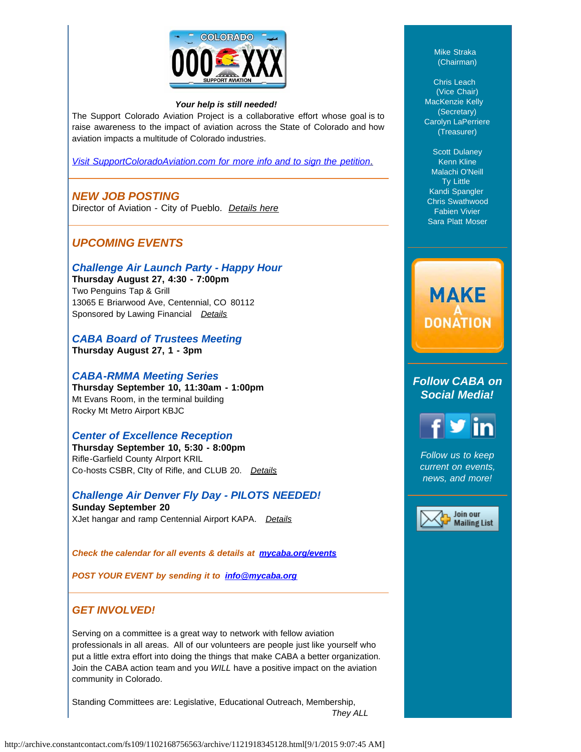

#### *Your help is still needed!*

The Support Colorado Aviation Project is a collaborative effort whose goal is to raise awareness to the impact of aviation across the State of Colorado and how aviation impacts a multitude of Colorado industries.

*[Visit SupportColoradoAviation.com for more info and to sign the petition](http://www.supportcoloradoaviation.com/?utm_source=Newsletter+August+2015&utm_campaign=August+2015+Newsletter&utm_medium=email)*[.](http://www.supportcoloradoaviation.com/?utm_source=Newsletter+August+2015&utm_campaign=August+2015+Newsletter&utm_medium=email)

## *NEW JOB POSTING*

Director of Aviation - City of Pueblo*. [Details here](http://mycaba.org/JobOps/3487646?utm_source=Newsletter+August+2015&utm_campaign=August+2015+Newsletter&utm_medium=email)*

## *UPCOMING EVENTS*

*Challenge Air Launch Party - Happy Hour*

**Thursday August 27, 4:30 - 7:00pm**  Two Penguins Tap & Grill 13065 E Briarwood Ave, Centennial, CO 80112 Sponsored by Lawing Financial *[Details](http://mycaba.org/event-2014535?utm_source=Newsletter+August+2015&utm_campaign=August+2015+Newsletter&utm_medium=email)*

*CABA Board of Trustees Meeting* **Thursday August 27, 1 - 3pm**

### *CABA-RMMA Meeting Series*

**Thursday September 10, 11:30am - 1:00pm** Mt Evans Room, in the terminal building Rocky Mt Metro Airport KBJC

### *Center of Excellence Reception*

**Thursday September 10, 5:30 - 8:00pm** Rifle-Garfield County AIrport KRIL Co-hosts CSBR, CIty of Rifle, and CLUB 20. *[Details](http://mycaba.org/event-2021245?utm_source=Newsletter+August+2015&utm_campaign=August+2015+Newsletter&utm_medium=email)*

*Challenge Air Denver Fly Day - PILOTS NEEDED!* **Sunday September 20** XJet hangar and ramp Centennial Airport KAPA. *[Details](http://mycaba.org/event-2014535?utm_source=Newsletter+August+2015&utm_campaign=August+2015+Newsletter&utm_medium=email)*

*Check the calendar for all events & details at [mycaba.org/events](http://mycaba.org/events?utm_source=Newsletter+August+2015&utm_campaign=August+2015+Newsletter&utm_medium=email)*

*POST YOUR EVENT by sending it to [info@mycaba.org](mailto:info@mycaba.org)*

## *GET INVOLVED!*

Serving on a committee is a great way to network with fellow aviation professionals in all areas. All of our volunteers are people just like yourself who put a little extra effort into doing the things that make CABA a better organization. Join the CABA action team and you *WILL* have a positive impact on the aviation community in Colorado.

Standing Committees are: Legislative, Educational Outreach, Membership, *They ALL*

MacKenzie Kelly (Secretary) Carolyn LaPerriere (Treasurer)

> Scott Dulaney Kenn Kline Malachi O'Neill Ty Little Kandi Spangler Chris Swathwood Fabien Vivier Sara Platt Moser

Mike Straka (Chairman)

Chris Leach (Vice Chair)

# **MAKE DONATION**

*Follow CABA on Social Media!*

*Follow us to keep current on events, news, and more!*